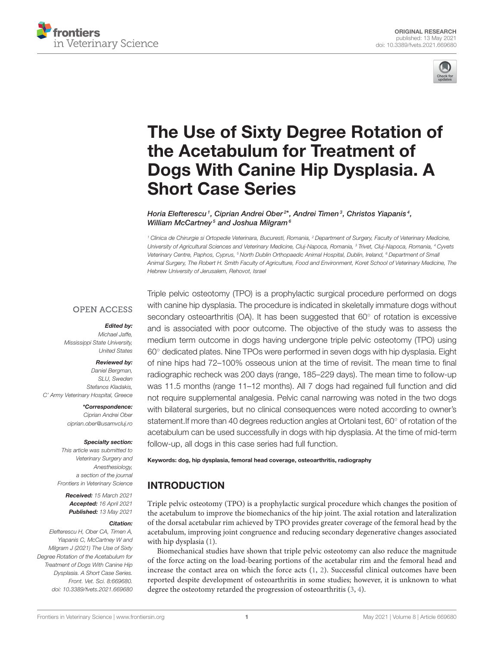



# The Use of Sixty Degree Rotation of the Acetabulum for Treatment of [Dogs With Canine Hip Dysplasia. A](https://www.frontiersin.org/articles/10.3389/fvets.2021.669680/full) Short Case Series

Horia Elefterescu<sup>1</sup>, Ciprian Andrei Ober<sup>2\*</sup>, Andrei Timen<sup>3</sup>, Christos Yiapanis<sup>4</sup>, William McCartney<sup>5</sup> and Joshua Milgram<sup>6</sup>

*<sup>1</sup> Clinica de Chirurgie si Ortopedie Veterinara, Bucuresti, Romania, <sup>2</sup> Department of Surgery, Faculty of Veterinary Medicine, University of Agricultural Sciences and Veterinary Medicine, Cluj-Napoca, Romania, <sup>3</sup> Trivet, Cluj-Napoca, Romania, <sup>4</sup> Cyvets Veterinary Centre, Paphos, Cyprus, <sup>5</sup> North Dublin Orthopaedic Animal Hospital, Dublin, Ireland, <sup>6</sup> Department of Small Animal Surgery, The Robert H. Smith Faculty of Agriculture, Food and Environment, Koret School of Veterinary Medicine, The Hebrew University of Jerusalem, Rehovot, Israel*

#### **OPEN ACCESS**

#### Edited by:

*Michael Jaffe, Mississippi State University, United States*

#### Reviewed by:

*Daniel Bergman, SLU, Sweden Stefanos Kladakis, C' Army Veterinary Hospital, Greece*

> \*Correspondence: *Ciprian Andrei Ober [ciprian.ober@usamvcluj.ro](mailto:ciprian.ober@usamvcluj.ro)*

#### Specialty section:

*This article was submitted to Veterinary Surgery and Anesthesiology, a section of the journal Frontiers in Veterinary Science*

Received: *15 March 2021* Accepted: *16 April 2021* Published: *13 May 2021*

#### Citation:

*Elefterescu H, Ober CA, Timen A, Yiapanis C, McCartney W and Milgram J (2021) The Use of Sixty Degree Rotation of the Acetabulum for Treatment of Dogs With Canine Hip Dysplasia. A Short Case Series. Front. Vet. Sci. 8:669680. doi: [10.3389/fvets.2021.669680](https://doi.org/10.3389/fvets.2021.669680)* Triple pelvic osteotomy (TPO) is a prophylactic surgical procedure performed on dogs with canine hip dysplasia. The procedure is indicated in skeletally immature dogs without secondary osteoarthritis (OA). It has been suggested that 60° of rotation is excessive and is associated with poor outcome. The objective of the study was to assess the medium term outcome in dogs having undergone triple pelvic osteotomy (TPO) using 60◦ dedicated plates. Nine TPOs were performed in seven dogs with hip dysplasia. Eight of nine hips had 72–100% osseous union at the time of revisit. The mean time to final radiographic recheck was 200 days (range, 185–229 days). The mean time to follow-up was 11.5 months (range 11–12 months). All 7 dogs had regained full function and did not require supplemental analgesia. Pelvic canal narrowing was noted in the two dogs with bilateral surgeries, but no clinical consequences were noted according to owner's statement.If more than 40 degrees reduction angles at Ortolani test, 60◦ of rotation of the acetabulum can be used successfully in dogs with hip dysplasia. At the time of mid-term follow-up, all dogs in this case series had full function.

#### Keywords: dog, hip dysplasia, femoral head coverage, osteoarthritis, radiography

## INTRODUCTION

Triple pelvic osteotomy (TPO) is a prophylactic surgical procedure which changes the position of the acetabulum to improve the biomechanics of the hip joint. The axial rotation and lateralization of the dorsal acetabular rim achieved by TPO provides greater coverage of the femoral head by the acetabulum, improving joint congruence and reducing secondary degenerative changes associated with hip dysplasia [\(1\)](#page-4-0).

Biomechanical studies have shown that triple pelvic osteotomy can also reduce the magnitude of the force acting on the load-bearing portions of the acetabular rim and the femoral head and increase the contact area on which the force acts [\(1,](#page-4-0) [2\)](#page-4-1). Successful clinical outcomes have been reported despite development of osteoarthritis in some studies; however, it is unknown to what degree the osteotomy retarded the progression of osteoarthritis [\(3,](#page-4-2) [4\)](#page-4-3).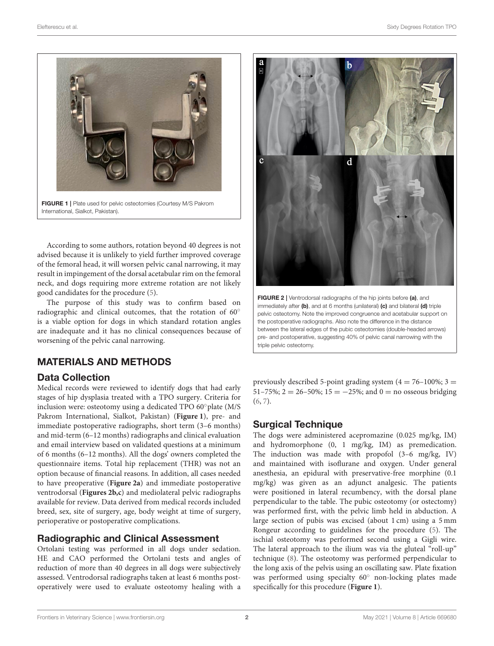

FIGURE 1 | Plate used for pelvic osteotomies (Courtesy M/S Pakrom International, Sialkot, Pakistan).

<span id="page-1-0"></span>According to some authors, rotation beyond 40 degrees is not advised because it is unlikely to yield further improved coverage of the femoral head, it will worsen pelvic canal narrowing, it may result in impingement of the dorsal acetabular rim on the femoral neck, and dogs requiring more extreme rotation are not likely good candidates for the procedure [\(5\)](#page-4-4).

The purpose of this study was to confirm based on radiographic and clinical outcomes, that the rotation of 60° is a viable option for dogs in which standard rotation angles are inadequate and it has no clinical consequences because of worsening of the pelvic canal narrowing.

## MATERIALS AND METHODS

#### Data Collection

Medical records were reviewed to identify dogs that had early stages of hip dysplasia treated with a TPO surgery. Criteria for inclusion were: osteotomy using a dedicated TPO 60◦plate (M/S Pakrom International, Sialkot, Pakistan) (**[Figure 1](#page-1-0)**), pre- and immediate postoperative radiographs, short term (3–6 months) and mid-term (6–12 months) radiographs and clinical evaluation and email interview based on validated questions at a minimum of 6 months (6–12 months). All the dogs' owners completed the questionnaire items. Total hip replacement (THR) was not an option because of financial reasons. In addition, all cases needed to have preoperative (**[Figure 2a](#page-1-1)**) and immediate postoperative ventrodorsal (**[Figures 2b,c](#page-1-1)**) and mediolateral pelvic radiographs available for review. Data derived from medical records included breed, sex, site of surgery, age, body weight at time of surgery, perioperative or postoperative complications.

#### Radiographic and Clinical Assessment

Ortolani testing was performed in all dogs under sedation. HE and CAO performed the Ortolani tests and angles of reduction of more than 40 degrees in all dogs were subjectively assessed. Ventrodorsal radiographs taken at least 6 months postoperatively were used to evaluate osteotomy healing with a



<span id="page-1-1"></span>FIGURE 2 | Ventrodorsal radiographs of the hip joints before (a), and immediately after (b), and at 6 months (unilateral) (c) and bilateral (d) triple pelvic osteotomy. Note the improved congruence and acetabular support on the postoperative radiographs. Also note the difference in the distance between the lateral edges of the pubic osteotomies (double-headed arrows) pre- and postoperative, suggesting 40% of pelvic canal narrowing with the triple pelvic osteotomy.

previously described 5-point grading system  $(4 = 76 - 100\%; 3 =$ 51–75%; 2 = 26–50%; 15 =  $-25$ %; and 0 = no osseous bridging [\(6,](#page-4-5) [7\)](#page-5-0).

## Surgical Technique

The dogs were administered acepromazine (0.025 mg/kg, IM) and hydromorphone (0, 1 mg/kg, IM) as premedication. The induction was made with propofol (3–6 mg/kg, IV) and maintained with isoflurane and oxygen. Under general anesthesia, an epidural with preservative-free morphine (0.1 mg/kg) was given as an adjunct analgesic. The patients were positioned in lateral recumbency, with the dorsal plane perpendicular to the table. The pubic osteotomy (or ostectomy) was performed first, with the pelvic limb held in abduction. A large section of pubis was excised (about 1 cm) using a 5 mm Rongeur according to guidelines for the procedure [\(5\)](#page-4-4). The ischial osteotomy was performed second using a Gigli wire. The lateral approach to the ilium was via the gluteal "roll-up" technique [\(8\)](#page-5-1). The osteotomy was performed perpendicular to the long axis of the pelvis using an oscillating saw. Plate fixation was performed using specialty 60° non-locking plates made specifically for this procedure (**[Figure 1](#page-1-0)**).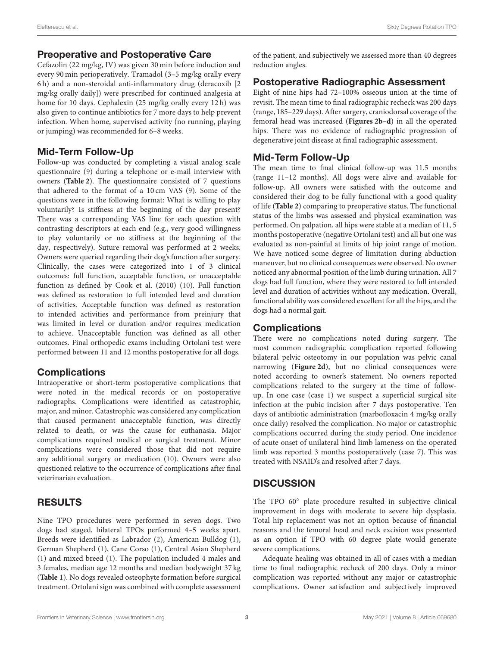#### Preoperative and Postoperative Care

Cefazolin (22 mg/kg, IV) was given 30 min before induction and every 90 min perioperatively. Tramadol (3–5 mg/kg orally every 6 h) and a non-steroidal anti-inflammatory drug (deracoxib [2 mg/kg orally daily]) were prescribed for continued analgesia at home for 10 days. Cephalexin (25 mg/kg orally every 12 h) was also given to continue antibiotics for 7 more days to help prevent infection. When home, supervised activity (no running, playing or jumping) was recommended for 6–8 weeks.

#### Mid-Term Follow-Up

Follow-up was conducted by completing a visual analog scale questionnaire [\(9\)](#page-5-2) during a telephone or e-mail interview with owners (**[Table 2](#page-3-0)**). The questionnaire consisted of 7 questions that adhered to the format of a 10 cm VAS [\(9\)](#page-5-2). Some of the questions were in the following format: What is willing to play voluntarily? Is stiffness at the beginning of the day present? There was a corresponding VAS line for each question with contrasting descriptors at each end (e.g., very good willingness to play voluntarily or no stiffness at the beginning of the day, respectively). Suture removal was performed at 2 weeks. Owners were queried regarding their dog's function after surgery. Clinically, the cases were categorized into 1 of 3 clinical outcomes: full function, acceptable function, or unacceptable function as defined by Cook et al. (2010) [\(10\)](#page-5-3). Full function was defined as restoration to full intended level and duration of activities. Acceptable function was defined as restoration to intended activities and performance from preinjury that was limited in level or duration and/or requires medication to achieve. Unacceptable function was defined as all other outcomes. Final orthopedic exams including Ortolani test were performed between 11 and 12 months postoperative for all dogs.

#### **Complications**

Intraoperative or short-term postoperative complications that were noted in the medical records or on postoperative radiographs. Complications were identified as catastrophic, major, and minor. Catastrophic was considered any complication that caused permanent unacceptable function, was directly related to death, or was the cause for euthanasia. Major complications required medical or surgical treatment. Minor complications were considered those that did not require any additional surgery or medication [\(10\)](#page-5-3). Owners were also questioned relative to the occurrence of complications after final veterinarian evaluation.

## RESULTS

Nine TPO procedures were performed in seven dogs. Two dogs had staged, bilateral TPOs performed 4–5 weeks apart. Breeds were identified as Labrador [\(2\)](#page-4-1), American Bulldog [\(1\)](#page-4-0), German Shepherd [\(1\)](#page-4-0), Cane Corso [\(1\)](#page-4-0), Central Asian Shepherd [\(1\)](#page-4-0) and mixed breed [\(1\)](#page-4-0). The population included 4 males and 3 females, median age 12 months and median bodyweight 37 kg (**[Table 1](#page-3-1)**). No dogs revealed osteophyte formation before surgical treatment. Ortolani sign was combined with complete assessment of the patient, and subjectively we assessed more than 40 degrees reduction angles.

#### Postoperative Radiographic Assessment

Eight of nine hips had 72–100% osseous union at the time of revisit. The mean time to final radiographic recheck was 200 days (range, 185–229 days). After surgery, craniodorsal coverage of the femoral head was increased (**[Figures 2b–d](#page-1-1)**) in all the operated hips. There was no evidence of radiographic progression of degenerative joint disease at final radiographic assessment.

## Mid-Term Follow-Up

The mean time to final clinical follow-up was 11.5 months (range 11–12 months). All dogs were alive and available for follow-up. All owners were satisfied with the outcome and considered their dog to be fully functional with a good quality of life (**[Table 2](#page-3-0)**) comparing to preoperative status. The functional status of the limbs was assessed and physical examination was performed. On palpation, all hips were stable at a median of 11, 5 months postoperative (negative Ortolani test) and all but one was evaluated as non-painful at limits of hip joint range of motion. We have noticed some degree of limitation during abduction maneuver, but no clinical consequences were observed. No owner noticed any abnormal position of the limb during urination. All 7 dogs had full function, where they were restored to full intended level and duration of activities without any medication. Overall, functional ability was considered excellent for all the hips, and the dogs had a normal gait.

## **Complications**

There were no complications noted during surgery. The most common radiographic complication reported following bilateral pelvic osteotomy in our population was pelvic canal narrowing (**[Figure 2d](#page-1-1)**), but no clinical consequences were noted according to owner's statement. No owners reported complications related to the surgery at the time of followup. In one case (case 1) we suspect a superficial surgical site infection at the pubic incision after 7 days postoperative. Ten days of antibiotic administration (marbofloxacin 4 mg/kg orally once daily) resolved the complication. No major or catastrophic complications occurred during the study period. One incidence of acute onset of unilateral hind limb lameness on the operated limb was reported 3 months postoperatively (case 7). This was treated with NSAID's and resolved after 7 days.

## **DISCUSSION**

The TPO 60◦ plate procedure resulted in subjective clinical improvement in dogs with moderate to severe hip dysplasia. Total hip replacement was not an option because of financial reasons and the femoral head and neck excision was presented as an option if TPO with 60 degree plate would generate severe complications.

Adequate healing was obtained in all of cases with a median time to final radiographic recheck of 200 days. Only a minor complication was reported without any major or catastrophic complications. Owner satisfaction and subjectively improved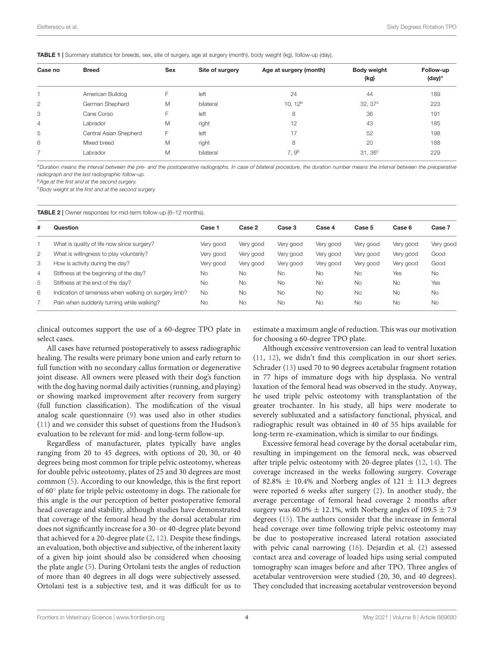<span id="page-3-1"></span>TABLE 1 | Summary statistics for breeds, sex, site of surgery, age at surgery (month), body weight (kg), follow-up (day).

| Case no        | <b>Breed</b>           | <b>Sex</b> | Site of surgery | Age at surgery (month) | Body weight<br>(kg) | Follow-up<br>(day) <sup>a</sup> |
|----------------|------------------------|------------|-----------------|------------------------|---------------------|---------------------------------|
|                | American Bulldog       | F          | left            | 24                     | 44                  | 189                             |
| 2              | German Shepherd        | M          | bilateral       | 10, 12 <sup>b</sup>    | 32,37 <sup>c</sup>  | 223                             |
| 3              | Cane Corso             | F          | left            | 8                      | 36                  | 191                             |
| $\overline{4}$ | Labrador               | M          | right           | 12                     | 43                  | 185                             |
| 5              | Central Asian Shepherd | F          | left            | 17                     | 52                  | 198                             |
| 6              | Mixed breed            | M          | right           | 8                      | 20                  | 188                             |
|                | Labrador               | M          | bilateral       | 7.9 <sup>b</sup>       | $31,36^c$           | 229                             |

*<sup>a</sup>Duration means the interval between the pre- and the postoperative radiographs. In case of bilateral procedure, the duration number means the interval between the preoperative radiograph and the last radiographic follow-up.*

*<sup>b</sup>Age at the first and at the second surgery.*

*<sup>c</sup>Body weight at the first and at the second surgery.*

<span id="page-3-0"></span>TABLE 2 | Owner responses for mid-term follow-up (6–12 months).

| #              | Question                                             | Case 1    | Case 2    | Case 3    | Case 4    | Case 5    | Case 6    | Case 7    |
|----------------|------------------------------------------------------|-----------|-----------|-----------|-----------|-----------|-----------|-----------|
|                | What is quality of life now since surgery?           | Very good | Very good | Very good | Very good | Very good | Very good | Very good |
| $\overline{2}$ | What is willingness to play voluntarily?             | Very good | Very good | Very good | Very good | Very good | Very good | Good      |
| 3              | How is activity during the day?                      | Very good | Very good | Very good | Very good | Very good | Very good | Good      |
| 4              | Stiffness at the beginning of the day?               | <b>No</b> | <b>No</b> | <b>No</b> | <b>No</b> | <b>No</b> | Yes       | <b>No</b> |
| 5              | Stiffness at the end of the day?                     | <b>No</b> | <b>No</b> | <b>No</b> | <b>No</b> | <b>No</b> | <b>No</b> | Yes       |
| 6              | Indication of lameness when walking on surgery limb? | <b>No</b> | <b>No</b> | <b>No</b> | <b>No</b> | <b>No</b> | <b>No</b> | <b>No</b> |
|                | Pain when suddenly turning while walking?            | <b>No</b> | <b>No</b> | <b>No</b> | <b>No</b> | <b>No</b> | <b>No</b> | <b>No</b> |
|                |                                                      |           |           |           |           |           |           |           |

clinical outcomes support the use of a 60-degree TPO plate in select cases.

All cases have returned postoperatively to assess radiographic healing. The results were primary bone union and early return to full function with no secondary callus formation or degenerative joint disease. All owners were pleased with their dog's function with the dog having normal daily activities (running, and playing) or showing marked improvement after recovery from surgery (full function classification). The modification of the visual analog scale questionnaire [\(9\)](#page-5-2) was used also in other studies [\(11\)](#page-5-4) and we consider this subset of questions from the Hudson's evaluation to be relevant for mid- and long-term follow-up.

Regardless of manufacturer, plates typically have angles ranging from 20 to 45 degrees, with options of 20, 30, or 40 degrees being most common for triple pelvic osteotomy, whereas for double pelvic osteotomy, plates of 25 and 30 degrees are most common [\(5\)](#page-4-4). According to our knowledge, this is the first report of 60◦ plate for triple pelvic osteotomy in dogs. The rationale for this angle is the our perception of better postoperative femoral head coverage and stability, although studies have demonstrated that coverage of the femoral head by the dorsal acetabular rim does not significantly increase for a 30- or 40-degree plate beyond that achieved for a 20-degree plate [\(2,](#page-4-1) [12\)](#page-5-5). Despite these findings, an evaluation, both objective and subjective, of the inherent laxity of a given hip joint should also be considered when choosing the plate angle [\(5\)](#page-4-4). During Ortolani tests the angles of reduction of more than 40 degrees in all dogs were subjectively assessed. Ortolani test is a subjective test, and it was difficult for us to estimate a maximum angle of reduction. This was our motivation for choosing a 60-degree TPO plate.

Although excessive ventroversion can lead to ventral luxation [\(11,](#page-5-4) [12\)](#page-5-5), we didn't find this complication in our short series. Schrader [\(13\)](#page-5-6) used 70 to 90 degrees acetabular fragment rotation in 77 hips of immature dogs with hip dysplasia. No ventral luxation of the femoral head was observed in the study. Anyway, he used triple pelvic osteotomy with transplantation of the greater trochanter. In his study, all hips were moderate to severely subluxated and a satisfactory functional, physical, and radiographic result was obtained in 40 of 55 hips available for long-term re-examination, which is similar to our findings.

Excessive femoral head coverage by the dorsal acetabular rim, resulting in impingement on the femoral neck, was observed after triple pelvic osteotomy with 20-degree plates [\(12,](#page-5-5) [14\)](#page-5-7). The coverage increased in the weeks following surgery. Coverage of 82.8%  $\pm$  10.4% and Norberg angles of 121  $\pm$  11.3 degrees were reported 6 weeks after surgery [\(2\)](#page-4-1). In another study, the average percentage of femoral head coverage 2 months after surgery was 60.0%  $\pm$  12.1%, with Norberg angles of 109.5  $\pm$  7.9 degrees [\(15\)](#page-5-8). The authors consider that the increase in femoral head coverage over time following triple pelvic osteotomy may be due to postoperative increased lateral rotation associated with pelvic canal narrowing [\(16\)](#page-5-9). Dejardin et al. [\(2\)](#page-4-1) assessed contact area and coverage of loaded hips using serial computed tomography scan images before and after TPO. Three angles of acetabular ventroversion were studied (20, 30, and 40 degrees). They concluded that increasing acetabular ventroversion beyond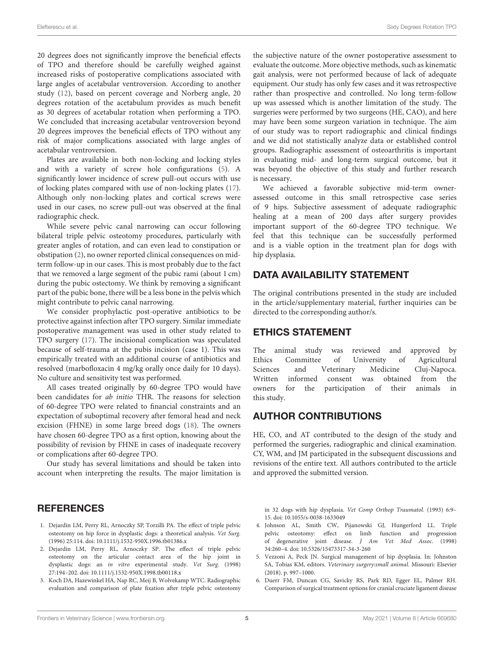20 degrees does not significantly improve the beneficial effects of TPO and therefore should be carefully weighed against increased risks of postoperative complications associated with large angles of acetabular ventroversion. According to another study [\(12\)](#page-5-5), based on percent coverage and Norberg angle, 20 degrees rotation of the acetabulum provides as much benefit as 30 degrees of acetabular rotation when performing a TPO. We concluded that increasing acetabular ventroversion beyond 20 degrees improves the beneficial effects of TPO without any risk of major complications associated with large angles of acetabular ventroversion.

Plates are available in both non-locking and locking styles and with a variety of screw hole configurations [\(5\)](#page-4-4). A significantly lower incidence of screw pull-out occurs with use of locking plates compared with use of non-locking plates [\(17\)](#page-5-10). Although only non-locking plates and cortical screws were used in our cases, no screw pull-out was observed at the final radiographic check.

While severe pelvic canal narrowing can occur following bilateral triple pelvic osteotomy procedures, particularly with greater angles of rotation, and can even lead to constipation or obstipation [\(2\)](#page-4-1), no owner reported clinical consequences on midterm follow-up in our cases. This is most probably due to the fact that we removed a large segment of the pubic rami (about 1 cm) during the pubic ostectomy. We think by removing a significant part of the pubic bone, there will be a less bone in the pelvis which might contribute to pelvic canal narrowing.

We consider prophylactic post-operative antibiotics to be protective against infection after TPO surgery. Similar immediate postoperative management was used in other study related to TPO surgery [\(17\)](#page-5-10). The incisional complication was speculated because of self-trauma at the pubis incision (case 1). This was empirically treated with an additional course of antibiotics and resolved (marbofloxacin 4 mg/kg orally once daily for 10 days). No culture and sensitivity test was performed.

All cases treated originally by 60-degree TPO would have been candidates for ab initio THR. The reasons for selection of 60-degree TPO were related to financial constraints and an expectation of suboptimal recovery after femoral head and neck excision (FHNE) in some large breed dogs [\(18\)](#page-5-11). The owners have chosen 60-degree TPO as a first option, knowing about the possibility of revision by FHNE in cases of inadequate recovery or complications after 60-degree TPO.

Our study has several limitations and should be taken into account when interpreting the results. The major limitation is the subjective nature of the owner postoperative assessment to evaluate the outcome. More objective methods, such as kinematic gait analysis, were not performed because of lack of adequate equipment. Our study has only few cases and it was retrospective rather than prospective and controlled. No long term-follow up was assessed which is another limitation of the study. The surgeries were performed by two surgeons (HE, CAO), and here may have been some surgeon variation in technique. The aim of our study was to report radiographic and clinical findings and we did not statistically analyze data or established control groups. Radiographic assessment of osteoarthritis is important in evaluating mid- and long-term surgical outcome, but it was beyond the objective of this study and further research is necessary.

We achieved a favorable subjective mid-term ownerassessed outcome in this small retrospective case series of 9 hips. Subjective assessment of adequate radiographic healing at a mean of 200 days after surgery provides important support of the 60-degree TPO technique. We feel that this technique can be successfully performed and is a viable option in the treatment plan for dogs with hip dysplasia.

# DATA AVAILABILITY STATEMENT

The original contributions presented in the study are included in the article/supplementary material, further inquiries can be directed to the corresponding author/s.

## ETHICS STATEMENT

The animal study was reviewed and approved by Ethics Committee of University of Agricultural Sciences and Veterinary Medicine Cluj-Napoca. Written informed consent was obtained from the owners for the participation of their animals in this study.

# AUTHOR CONTRIBUTIONS

HE, CO, and AT contributed to the design of the study and performed the surgeries, radiographic and clinical examination. CY, WM, and JM participated in the subsequent discussions and revisions of the entire text. All authors contributed to the article and approved the submitted version.

# **REFERENCES**

- <span id="page-4-0"></span>1. Dejardin LM, Perry RL, Arnoczky SP, Torzilli PA. The effect of triple pelvic osteotomy on hip force in dysplastic dogs: a theoretical analysis. Vet Surg. (1996) 25:114. doi: [10.1111/j.1532-950X.1996.tb01386.x](https://doi.org/10.1111/j.1532-950X.1996.tb01386.x)
- <span id="page-4-1"></span>2. Dejardin LM, Perry RL, Arnoczky SP. The effect of triple pelvic osteotomy on the articular contact area of the hip joint in dysplastic dogs: an in vitro experimental study. Vet Surg. (1998) 27:194–202. doi: [10.1111/j.1532-950X.1998.tb00118.x](https://doi.org/10.1111/j.1532-950X.1998.tb00118.x)
- <span id="page-4-2"></span>3. Koch DA, Hazewinkel HA, Nap RC, Meij B, Wolvekamp WTC. Radiographic evaluation and comparison of plate fixation after triple pelvic osteotomy

in 32 dogs with hip dysplasia. Vet Comp Orthop Traumatol. (1993) 6:9– 15. doi: [10.1055/s-0038-1633049](https://doi.org/10.1055/s-0038-1633049)

- <span id="page-4-3"></span>4. Johnson AL, Smith CW, Pijanowski GJ, Hungerford LL. Triple pelvic osteotomy: effect on limb function and progression of degenerative joint disease. J Am Vet Med Assoc. (1998) 34:260–4. doi: [10.5326/15473317-34-3-260](https://doi.org/10.5326/15473317-34-3-260)
- <span id="page-4-4"></span>5. Vezzoni A, Peck JN. Surgical management of hip dysplasia. In: Johnston SA, Tobias KM, editors. Veterinary surgery:small animal. Missouri: Elsevier (2018). p. 997–1000.
- <span id="page-4-5"></span>6. Duerr FM, Duncan CG, Savicky RS, Park RD, Egger EL, Palmer RH. Comparison of surgical treatment options for cranial cruciate ligament disease